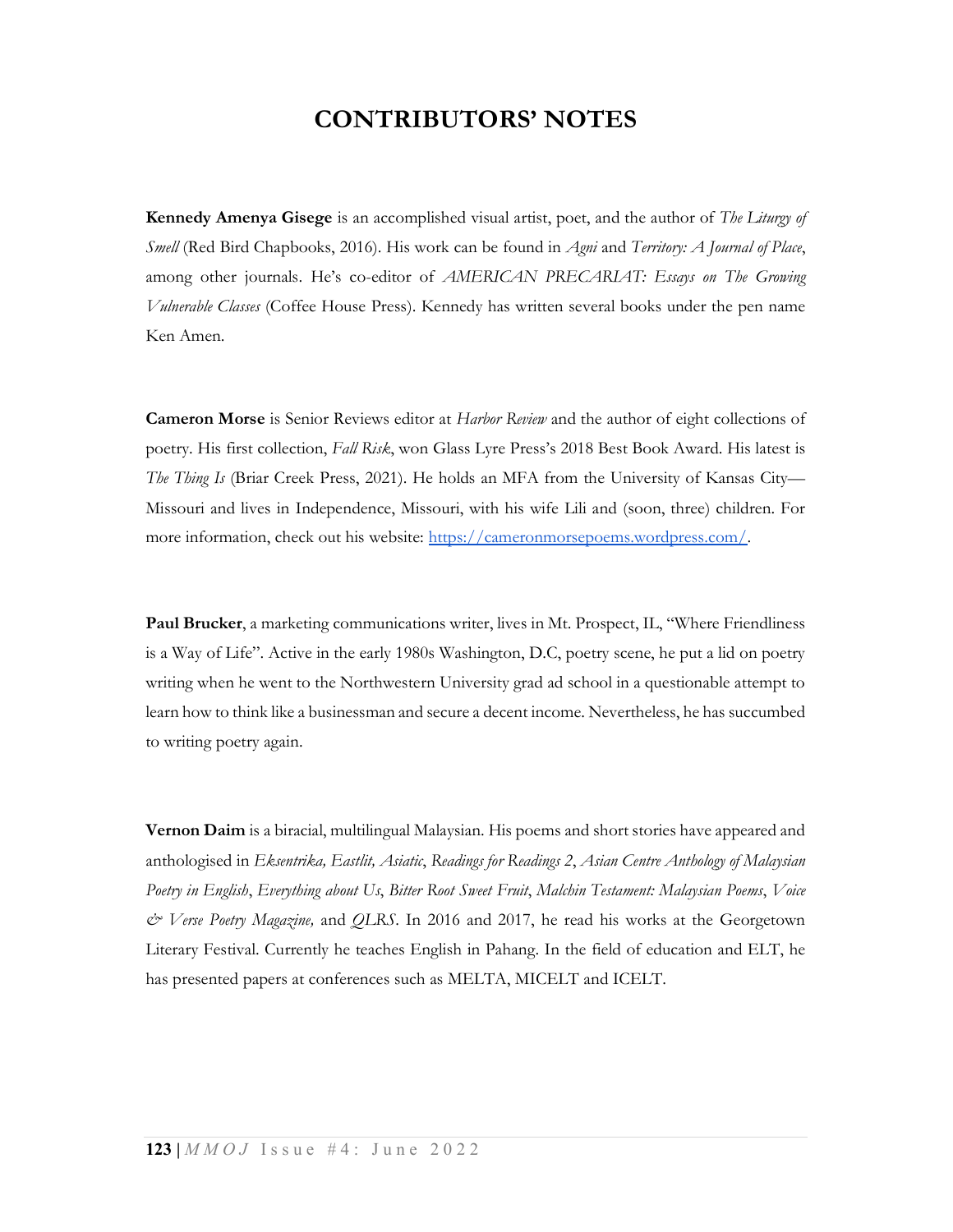## CONTRIBUTORS' NOTES

**Kennedy Amenya Gisege** is an accomplished visual artist, poet, and the author of *The Liturgy of* Smell (Red Bird Chapbooks, 2016). His work can be found in Agni and Territory: A Journal of Place, among other journals. He's co-editor of *AMERICAN PRECARIAT: Essays on The Growing* Vulnerable Classes (Coffee House Press). Kennedy has written several books under the pen name Ken Amen.

Cameron Morse is Senior Reviews editor at Harbor Review and the author of eight collections of poetry. His first collection, Fall Risk, won Glass Lyre Press's 2018 Best Book Award. His latest is The Thing Is (Briar Creek Press, 2021). He holds an MFA from the University of Kansas City— Missouri and lives in Independence, Missouri, with his wife Lili and (soon, three) children. For more information, check out his website: https://cameronmorsepoems.wordpress.com/.

Paul Brucker, a marketing communications writer, lives in Mt. Prospect, IL, "Where Friendliness is a Way of Life". Active in the early 1980s Washington, D.C, poetry scene, he put a lid on poetry writing when he went to the Northwestern University grad ad school in a questionable attempt to learn how to think like a businessman and secure a decent income. Nevertheless, he has succumbed to writing poetry again.

Vernon Daim is a biracial, multilingual Malaysian. His poems and short stories have appeared and anthologised in Eksentrika, Eastlit, Asiatic, Readings for Readings 2, Asian Centre Anthology of Malaysian Poetry in English, Everything about Us, Bitter Root Sweet Fruit, Malchin Testament: Malaysian Poems, Voice  $\mathcal{O}\times\mathcal{V}$ erse Poetry Magazine, and QLRS. In 2016 and 2017, he read his works at the Georgetown Literary Festival. Currently he teaches English in Pahang. In the field of education and ELT, he has presented papers at conferences such as MELTA, MICELT and ICELT.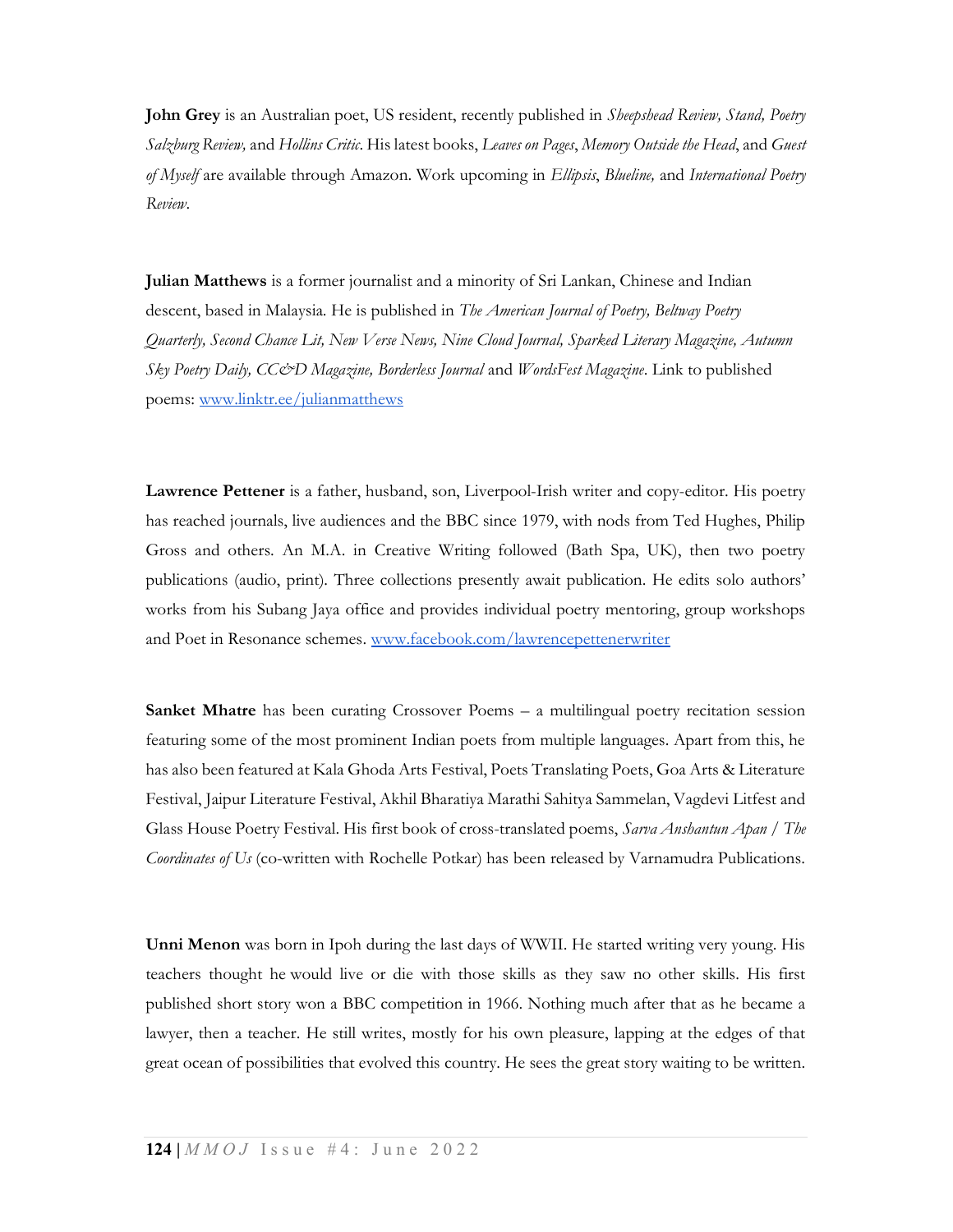John Grey is an Australian poet, US resident, recently published in *Sheepshead Review, Stand, Poetry* Salzburg Review, and Hollins Critic. His latest books, Leaves on Pages, Memory Outside the Head, and Guest of Myself are available through Amazon. Work upcoming in Ellipsis, Blueline, and International Poetry Review.

Julian Matthews is a former journalist and a minority of Sri Lankan, Chinese and Indian descent, based in Malaysia. He is published in The American Journal of Poetry, Beltway Poetry Quarterly, Second Chance Lit, New Verse News, Nine Cloud Journal, Sparked Literary Magazine, Autumn Sky Poetry Daily, CC&D Magazine, Borderless Journal and WordsFest Magazine. Link to published poems: www.linktr.ee/julianmatthews

Lawrence Pettener is a father, husband, son, Liverpool-Irish writer and copy-editor. His poetry has reached journals, live audiences and the BBC since 1979, with nods from Ted Hughes, Philip Gross and others. An M.A. in Creative Writing followed (Bath Spa, UK), then two poetry publications (audio, print). Three collections presently await publication. He edits solo authors' works from his Subang Jaya office and provides individual poetry mentoring, group workshops and Poet in Resonance schemes. www.facebook.com/lawrencepettenerwriter

Sanket Mhatre has been curating Crossover Poems – a multilingual poetry recitation session featuring some of the most prominent Indian poets from multiple languages. Apart from this, he has also been featured at Kala Ghoda Arts Festival, Poets Translating Poets, Goa Arts & Literature Festival, Jaipur Literature Festival, Akhil Bharatiya Marathi Sahitya Sammelan, Vagdevi Litfest and Glass House Poetry Festival. His first book of cross-translated poems, Sarva Anshantun Apan / The Coordinates of Us (co-written with Rochelle Potkar) has been released by Varnamudra Publications.

Unni Menon was born in Ipoh during the last days of WWII. He started writing very young. His teachers thought he would live or die with those skills as they saw no other skills. His first published short story won a BBC competition in 1966. Nothing much after that as he became a lawyer, then a teacher. He still writes, mostly for his own pleasure, lapping at the edges of that great ocean of possibilities that evolved this country. He sees the great story waiting to be written.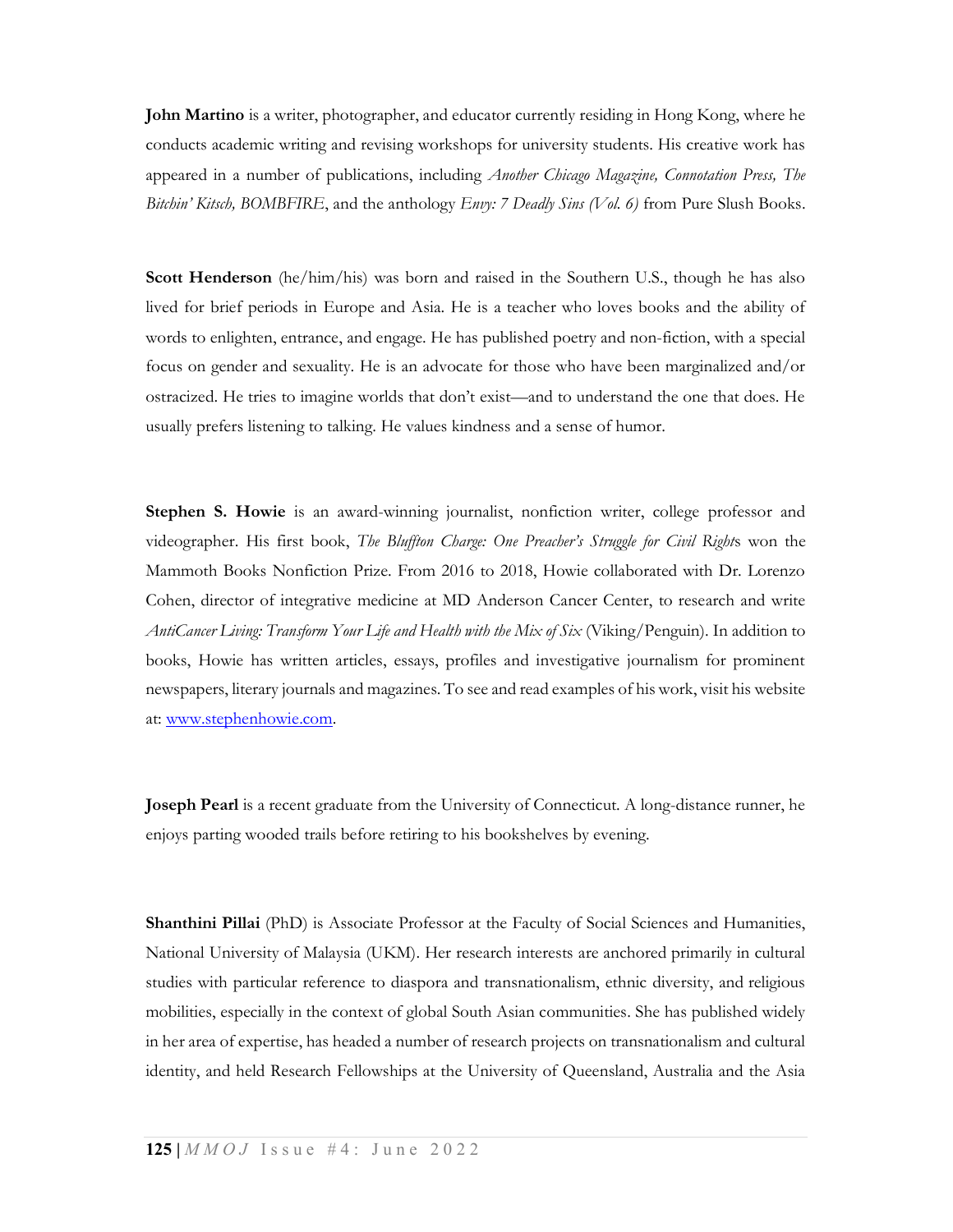John Martino is a writer, photographer, and educator currently residing in Hong Kong, where he conducts academic writing and revising workshops for university students. His creative work has appeared in a number of publications, including Another Chicago Magazine, Connotation Press, The Bitchin' Kitsch, BOMBFIRE, and the anthology  $Envy$ : 7 Deadly Sins (Vol. 6) from Pure Slush Books.

Scott Henderson (he/him/his) was born and raised in the Southern U.S., though he has also lived for brief periods in Europe and Asia. He is a teacher who loves books and the ability of words to enlighten, entrance, and engage. He has published poetry and non-fiction, with a special focus on gender and sexuality. He is an advocate for those who have been marginalized and/or ostracized. He tries to imagine worlds that don't exist—and to understand the one that does. He usually prefers listening to talking. He values kindness and a sense of humor.

Stephen S. Howie is an award-winning journalist, nonfiction writer, college professor and videographer. His first book, The Bluffton Charge: One Preacher's Struggle for Civil Rights won the Mammoth Books Nonfiction Prize. From 2016 to 2018, Howie collaborated with Dr. Lorenzo Cohen, director of integrative medicine at MD Anderson Cancer Center, to research and write AntiCancer Living: Transform Your Life and Health with the Mix of Six (Viking/Penguin). In addition to books, Howie has written articles, essays, profiles and investigative journalism for prominent newspapers, literary journals and magazines. To see and read examples of his work, visit his website at: www.stephenhowie.com.

Joseph Pearl is a recent graduate from the University of Connecticut. A long-distance runner, he enjoys parting wooded trails before retiring to his bookshelves by evening.

**Shanthini Pillai** (PhD) is Associate Professor at the Faculty of Social Sciences and Humanities, National University of Malaysia (UKM). Her research interests are anchored primarily in cultural studies with particular reference to diaspora and transnationalism, ethnic diversity, and religious mobilities, especially in the context of global South Asian communities. She has published widely in her area of expertise, has headed a number of research projects on transnationalism and cultural identity, and held Research Fellowships at the University of Queensland, Australia and the Asia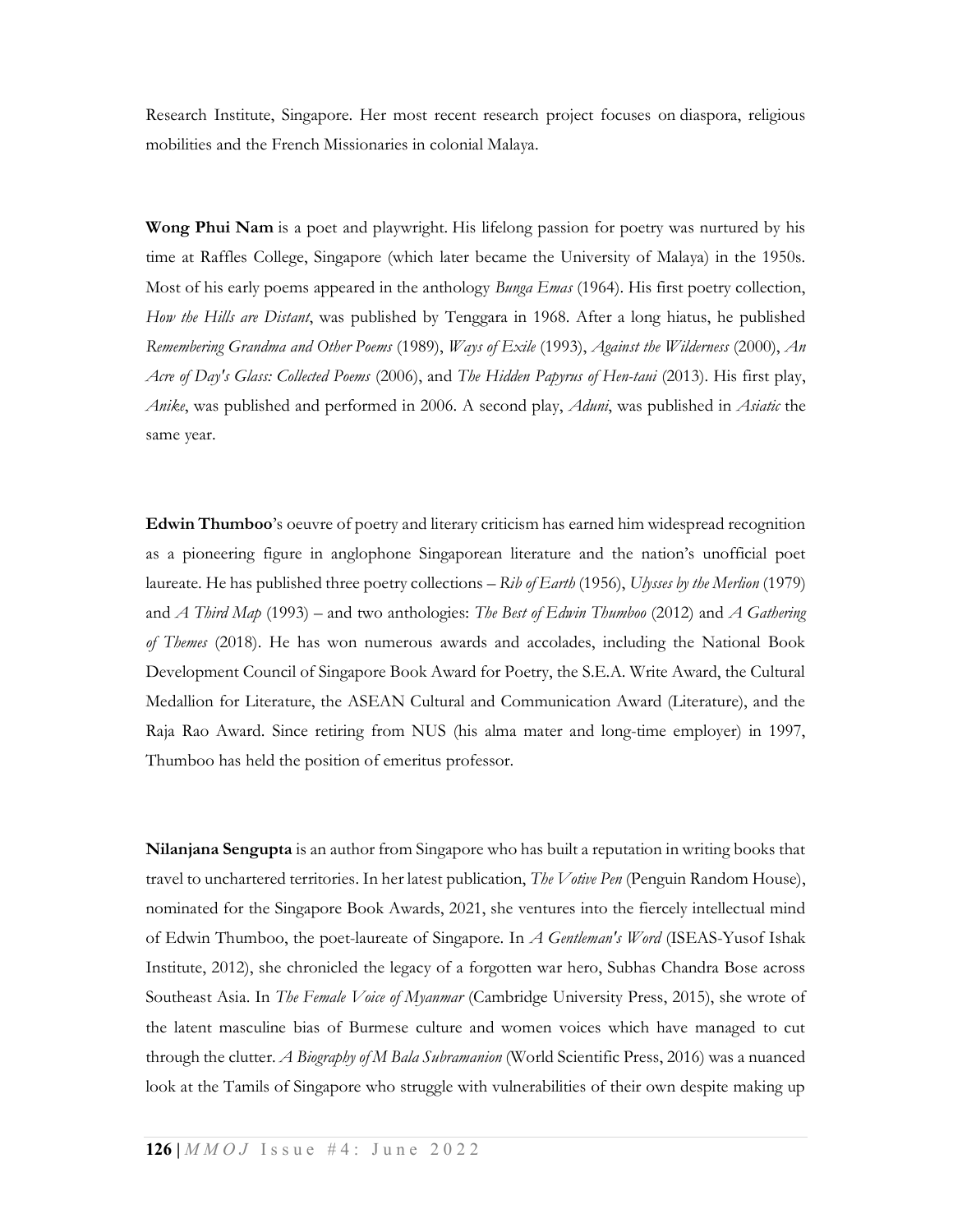Research Institute, Singapore. Her most recent research project focuses on diaspora, religious mobilities and the French Missionaries in colonial Malaya.

Wong Phui Nam is a poet and playwright. His lifelong passion for poetry was nurtured by his time at Raffles College, Singapore (which later became the University of Malaya) in the 1950s. Most of his early poems appeared in the anthology *Bunga Emas* (1964). His first poetry collection, How the Hills are Distant, was published by Tenggara in 1968. After a long hiatus, he published Remembering Grandma and Other Poems (1989), Ways of Exile (1993), Against the Wilderness (2000), An Acre of Day's Glass: Collected Poems (2006), and The Hidden Papyrus of Hen-taui (2013). His first play, Anike, was published and performed in 2006. A second play, Aduni, was published in Asiatic the same year.

Edwin Thumboo's oeuvre of poetry and literary criticism has earned him widespread recognition as a pioneering figure in anglophone Singaporean literature and the nation's unofficial poet laureate. He has published three poetry collections – Rib of Earth (1956), Ulysses by the Merlion (1979) and A Third Map (1993) – and two anthologies: The Best of Edwin Thumboo (2012) and A Gathering of Themes (2018). He has won numerous awards and accolades, including the National Book Development Council of Singapore Book Award for Poetry, the S.E.A. Write Award, the Cultural Medallion for Literature, the ASEAN Cultural and Communication Award (Literature), and the Raja Rao Award. Since retiring from NUS (his alma mater and long-time employer) in 1997, Thumboo has held the position of emeritus professor.

Nilanjana Sengupta is an author from Singapore who has built a reputation in writing books that travel to unchartered territories. In her latest publication, The Votive Pen (Penguin Random House), nominated for the Singapore Book Awards, 2021, she ventures into the fiercely intellectual mind of Edwin Thumboo, the poet-laureate of Singapore. In A Gentleman's Word (ISEAS-Yusof Ishak Institute, 2012), she chronicled the legacy of a forgotten war hero, Subhas Chandra Bose across Southeast Asia. In The Female Voice of Myanmar (Cambridge University Press, 2015), she wrote of the latent masculine bias of Burmese culture and women voices which have managed to cut through the clutter. A Biography of M Bala Subramanion (World Scientific Press, 2016) was a nuanced look at the Tamils of Singapore who struggle with vulnerabilities of their own despite making up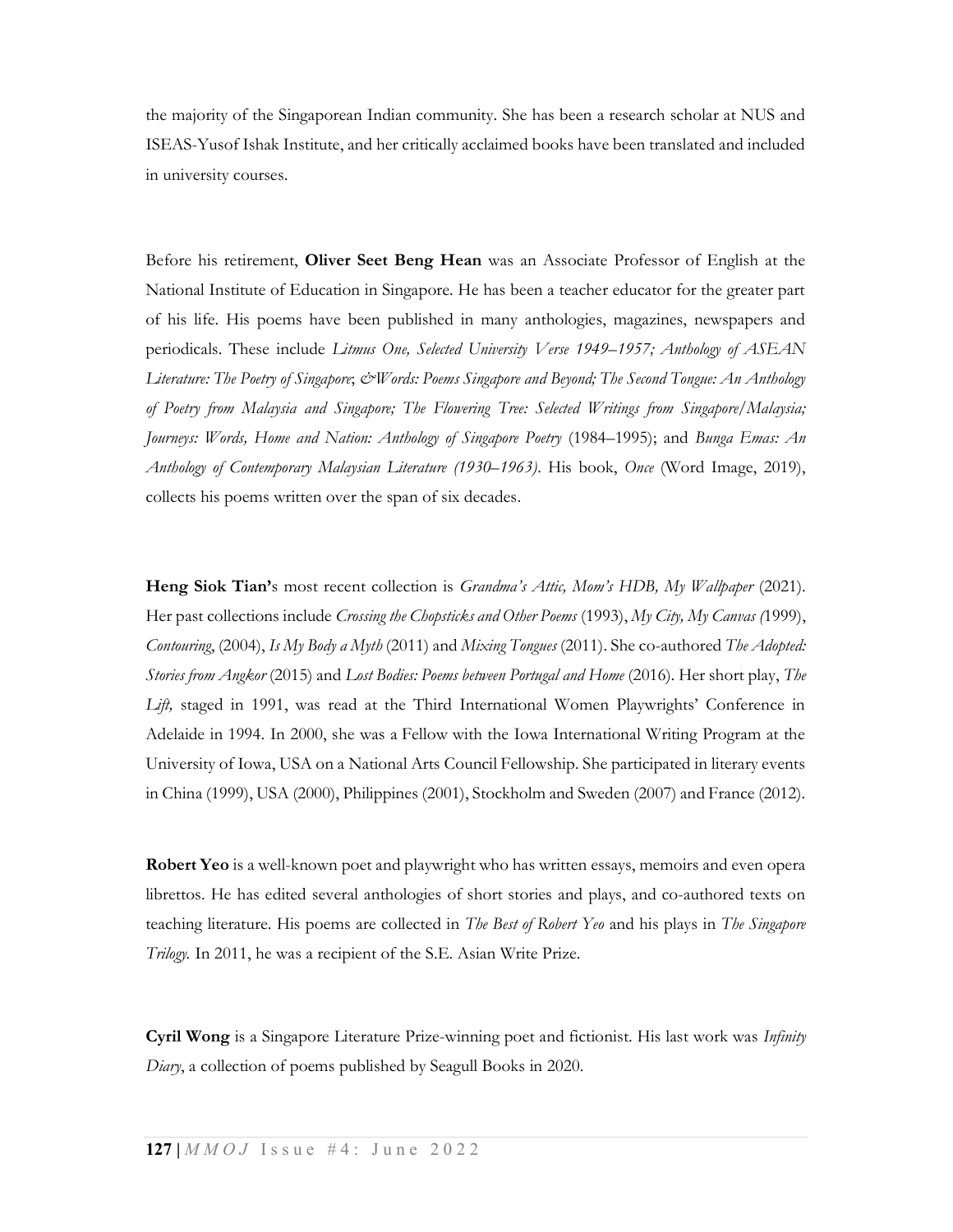the majority of the Singaporean Indian community. She has been a research scholar at NUS and ISEAS-Yusof Ishak Institute, and her critically acclaimed books have been translated and included in university courses.

Before his retirement, Oliver Seet Beng Hean was an Associate Professor of English at the National Institute of Education in Singapore. He has been a teacher educator for the greater part of his life. His poems have been published in many anthologies, magazines, newspapers and periodicals. These include Litmus One, Selected University Verse 1949–1957; Anthology of ASEAN Literature: The Poetry of Singapore;  $\mathcal{O}W$ ords: Poems Singapore and Beyond; The Second Tongue: An Anthology of Poetry from Malaysia and Singapore; The Flowering Tree: Selected Writings from Singapore/Malaysia; Journeys: Words, Home and Nation: Anthology of Singapore Poetry (1984–1995); and Bunga Emas: An Anthology of Contemporary Malaysian Literature (1930–1963). His book, Once (Word Image, 2019), collects his poems written over the span of six decades.

Heng Siok Tian's most recent collection is Grandma's Attic, Mom's HDB, My Wallpaper (2021). Her past collections include Crossing the Chopsticks and Other Poems (1993), My City, My Canvas (1999), Contouring, (2004), Is My Body a Myth (2011) and Mixing Tongues (2011). She co-authored The Adopted: Stories from Angkor (2015) and Lost Bodies: Poems between Portugal and Home (2016). Her short play, The Lift, staged in 1991, was read at the Third International Women Playwrights' Conference in Adelaide in 1994. In 2000, she was a Fellow with the Iowa International Writing Program at the University of Iowa, USA on a National Arts Council Fellowship. She participated in literary events in China (1999), USA (2000), Philippines (2001), Stockholm and Sweden (2007) and France (2012).

Robert Yeo is a well-known poet and playwright who has written essays, memoirs and even opera librettos. He has edited several anthologies of short stories and plays, and co-authored texts on teaching literature. His poems are collected in *The Best of Robert Yeo* and his plays in *The Singapore* Trilogy. In 2011, he was a recipient of the S.E. Asian Write Prize.

Cyril Wong is a Singapore Literature Prize-winning poet and fictionist. His last work was Infinity Diary, a collection of poems published by Seagull Books in 2020.